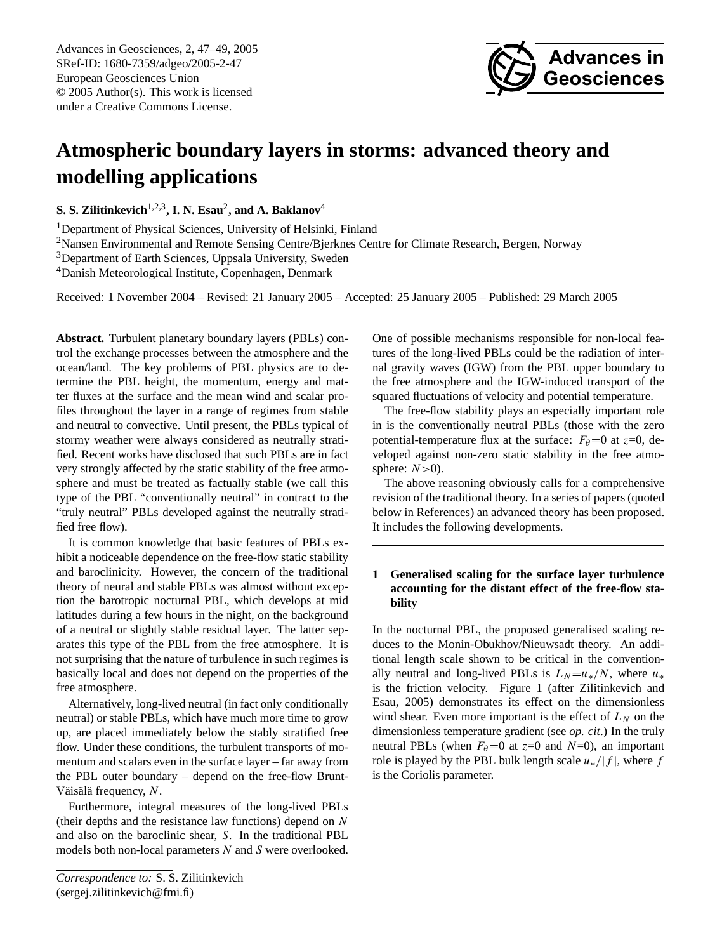Advances in Geosciences, 2, 47[–49,](#page-0-0) 2005 SRef-ID: 1680-7359/adgeo/2005-2-47 European Geosciences Union © 2005 Author(s). This work is licensed under a Creative Commons License.



# **Atmospheric boundary layers in storms: advanced theory and modelling applications**

**S. S. Zilitinkevich**1,2,3**, I. N. Esau**<sup>2</sup> **, and A. Baklanov**<sup>4</sup>

<sup>1</sup>Department of Physical Sciences, University of Helsinki, Finland

<sup>2</sup>Nansen Environmental and Remote Sensing Centre/Bjerknes Centre for Climate Research, Bergen, Norway

<sup>3</sup>Department of Earth Sciences, Uppsala University, Sweden

<sup>4</sup>Danish Meteorological Institute, Copenhagen, Denmark

Received: 1 November 2004 – Revised: 21 January 2005 – Accepted: 25 January 2005 – Published: 29 March 2005

**Abstract.** Turbulent planetary boundary layers (PBLs) control the exchange processes between the atmosphere and the ocean/land. The key problems of PBL physics are to determine the PBL height, the momentum, energy and matter fluxes at the surface and the mean wind and scalar profiles throughout the layer in a range of regimes from stable and neutral to convective. Until present, the PBLs typical of stormy weather were always considered as neutrally stratified. Recent works have disclosed that such PBLs are in fact very strongly affected by the static stability of the free atmosphere and must be treated as factually stable (we call this type of the PBL "conventionally neutral" in contract to the "truly neutral" PBLs developed against the neutrally stratified free flow).

It is common knowledge that basic features of PBLs exhibit a noticeable dependence on the free-flow static stability and baroclinicity. However, the concern of the traditional theory of neural and stable PBLs was almost without exception the barotropic nocturnal PBL, which develops at mid latitudes during a few hours in the night, on the background of a neutral or slightly stable residual layer. The latter separates this type of the PBL from the free atmosphere. It is not surprising that the nature of turbulence in such regimes is basically local and does not depend on the properties of the free atmosphere.

Alternatively, long-lived neutral (in fact only conditionally neutral) or stable PBLs, which have much more time to grow up, are placed immediately below the stably stratified free flow. Under these conditions, the turbulent transports of momentum and scalars even in the surface layer – far away from the PBL outer boundary – depend on the free-flow Brunt-Väisälä frequency,  $N$ .

Furthermore, integral measures of the long-lived PBLs (their depths and the resistance law functions) depend on  $N$ and also on the baroclinic shear, S. In the traditional PBL models both non-local parameters N and S were overlooked. One of possible mechanisms responsible for non-local features of the long-lived PBLs could be the radiation of internal gravity waves (IGW) from the PBL upper boundary to the free atmosphere and the IGW-induced transport of the squared fluctuations of velocity and potential temperature.

The free-flow stability plays an especially important role in is the conventionally neutral PBLs (those with the zero potential-temperature flux at the surface:  $F_{\theta}=0$  at  $z=0$ , developed against non-zero static stability in the free atmosphere:  $N>0$ ).

The above reasoning obviously calls for a comprehensive revision of the traditional theory. In a series of papers (quoted below in References) an advanced theory has been proposed. It includes the following developments.

### **1 Generalised scaling for the surface layer turbulence accounting for the distant effect of the free-flow stability**

In the nocturnal PBL, the proposed generalised scaling reduces to the Monin-Obukhov/Nieuwsadt theory. An additional length scale shown to be critical in the conventionally neutral and long-lived PBLs is  $L_N=u_*/N$ , where  $u_*$ is the friction velocity. Figure 1 (after Zilitinkevich and Esau, 2005) demonstrates its effect on the dimensionless wind shear. Even more important is the effect of  $L<sub>N</sub>$  on the dimensionless temperature gradient (see *op. cit*.) In the truly neutral PBLs (when  $F_{\theta}=0$  at  $z=0$  and  $N=0$ ), an important role is played by the PBL bulk length scale  $u_*/|f|$ , where f is the Coriolis parameter.

<span id="page-0-0"></span>*Correspondence to:* S. S. Zilitinkevich (sergej.zilitinkevich@fmi.fi)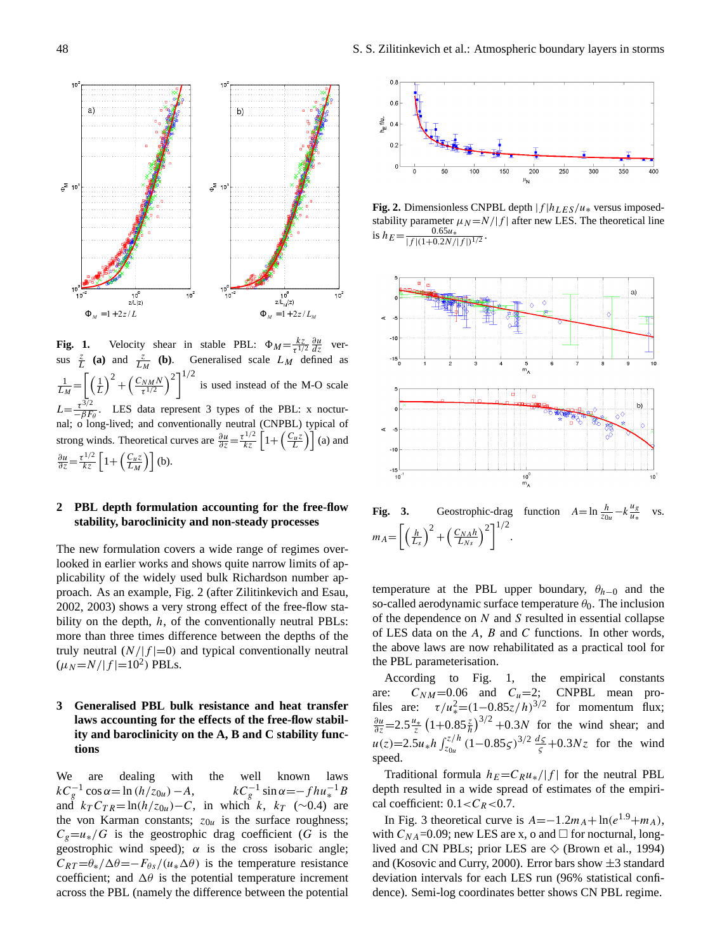

**Fig. 1.** Velocity shear in stable PBL:  $\Phi_M = \frac{kz}{\tau^{1/2}} \frac{\partial u}{\partial z}$  ver- $\left[ \left( 1 \right)^2 + \left( C_{NM} N \right)^2 \right]$ sus  $\frac{z}{L}$  (a) and  $\frac{z}{L_M}$  (b). Generalised scale  $L_M$  defined as  $\left(\frac{C_{NM}N}{\frac{C_{NM}N}{2}}\right)^2\right]^{1/2}$ τ  $\ddot{}$   $\ddot{}$  $\binom{m}{N}$   $\binom{2}{1/2}$  is used instead of the M-O scale ι<br><sub>L → +</sub> 1 <sub>+</sub>  $L_M$   $\left[\begin{matrix} L & \cdots & 0 \\ 0 & 0 & \cdots & 0 \end{matrix}\right]$  $L = \frac{\tau^{3/2}}{-\beta F_{\theta}}$ . LES data represent 3 types of the PBL: x nocturnal; o long-lived; and conventionally neutral (CNPBL) typical of <sub>ong</sub> winds  $\frac{\partial u}{\partial z} = \frac{\tau^{1/2}}{kz} \left[ 1 + \left( \frac{C_u z}{L_M} \right) \right]$  (b). strong winds. Theoretical curves are  $\frac{\partial u}{\partial z} = \frac{\tau^{1/2}}{kz} \left[ 1 + \left( \frac{C_u z}{L} \right) \right]$  (a) and  $rac{kz}{\tau^{1/2}} \frac{\partial u}{\partial z}$  ver- $\frac{1}{L_M} = \left[ \left( \frac{1}{L} \right)^2 + \left( \frac{C_{NM} N}{\tau^{1/2}} \right)^2 \right]^{1/2}$  is used instead of the M-O scale

## **2** PBL depth formulation accounting for the free-flow stability, baroclinicity and non-steady processes

 3 2002, 2003) shows a very strong effect of the free-flow sta-The new formulation covers a wide range of regimes overlooked in earlier works and shows quite narrow limits of applicability of the widely used bulk Richardson number approach. As an example, Fig. 2 (after Zilitinkevich and Esau, bility on the depth,  $h$ , of the conventionally neutral PBLs: more than three times difference between the depths of the truly neutral  $(N/|f|=0)$  and typical conventionally neutral  $(\mu_N = N/|f| = 10^2)$  PBLs.

## **3 Generalised PBL bulk resistance and heat transfer laws accounting for the effects of the free-flow stability and baroclinicity on the A, B and C stability functions**

We are dealing with the well known laws  $kC_g^{-1}$  cos  $\alpha = \ln(h/z_{0u}) - A$ ,  $kC_g^{-1} \sin \alpha = -fhu_*^{-1}B$ and  $k_T C_{TR} = \ln(h/z_{0u}) - C$ , in which k,  $k_T$  (∼0.4) are the von Karman constants;  $z_{0u}$  is the surface roughness;  $C<sub>g</sub>=u<sub>*</sub>/G$  is the geostrophic drag coefficient (G is the geostrophic wind speed);  $\alpha$  is the cross isobaric angle;  $C_{RT} = \theta_* / \Delta \theta = -F_{\theta s} / (u_* \Delta \theta)$  is the temperature resistance coefficient; and  $\Delta\theta$  is the potential temperature increment across the PBL (namely the difference between the potential



 $\frac{N}{\mu}$  **EXECUTE:**  $\frac{N}{\mu}$  *N*  $\frac{N}{\mu}$  *N*  $\frac{N}{\mu}$  *N*  $\frac{N}{\mu}$  *N*  $\frac{N}{\mu}$  *N*  $\frac{N}{\mu}$  *N*  $\frac{N}{\mu}$  *N*  $\frac{N}{\mu}$  *N*  $\frac{N}{\mu}$  *N*  $\frac{N}{\mu}$  *N*  $\frac{N}{\mu}$  *N*  $\frac{N}{\mu}$  **Fig. 2.** Dimensionless CNPBL depth  $|f|h_{LES}/u_*|$  versus imposed-<br>the little parameter  $u = M / |f|$  often near LES. The theoretical line is  $h_E = \frac{0.65u_*}{|f|(1+0.2N/|f|)^{1/2}}$ . .  $E^C E = |f|(1+0.2N/|f|)^{1/2}$ 



**Fig. 3.** Geostrophic-drag function  $A = \ln \frac{h}{\tau_{0u}} - k \frac{u_g}{u_h}$  $A = \ln \frac{h}{z_{0u}} - k \frac{u_g}{u_*}$  $A = \ln \frac{h}{z_{0u}} - k \frac{u}{u}$  $\frac{1}{u} - k \frac{u}{u}$  $\frac{h}{70}$  $=$  ln *Ns*  $\ln \frac{h}{70} - k$  $ln \frac{h}{\pi} - k \frac{u_g}{u}$  v  $\int (h)^2 (G_{N,h})^2]^{1/2}$  $m_A = \left[ \left( \frac{h}{L_s} \right)^2 + \left( \frac{C_{N_A h}}{L_{N_s}} \right)^2 \right]^{1/2}.$ (Kosovic and Curry, 2000). Error bars show ±3 standard deviation intervals for each LES run **Fig.** 3. Geostrophic-drag function  $A = \ln \frac{1}{2}$  $\frac{1}{2}$  $\ddot{\cdot}$  $-k\frac{u_g}{u_*}$  $rac{h}{z_{0u}} - k\frac{u_g}{u_*}$  $\mathbf{v}$ **Fig. 3.** Geostrophic-drag function  $A = \ln \frac{h}{z_{0u}} - k \frac{u_g}{u_*}$  vs. and for nocturnal, long-lived and CN PBLs; prior LES are ◊ (Brown *et al.*, 1994) and

temperature at the PBL upper boundary,  $\theta_{h-0}$  and the so-called aerodynamic surface temperature  $\theta_0$ . The inclusion of the dependence on N and S resulted in essential collapse of LES data on the  $A$ ,  $B$  and  $C$  functions. In other words, the above laws are now rehabilitated as a practical tool for the PBL parameterisation.

According to Fig. 1, the empirical constants are:  $C_{NM}$ =0.06 and  $C_u$ =2; CNPBL mean profiles are:  $\tau/u_*^2 = (1 - 0.85z/h)^{3/2}$  for momentum flux;  $\frac{\partial u}{\partial z}$  = 2.5 $\frac{u_*}{z}$  (1+0.85 $\frac{z}{h}$ )<sup>3/2</sup> + 0.3N for the wind shear; and  $u(z) = 2.5u_*h \int_{z_{0u}}^{z/h} (1-0.85\zeta)^{3/2} \frac{d\zeta}{\zeta} + 0.3Nz$  for the wind speed.

Traditional formula  $h_E=C_Ru_*/|f|$  for the neutral PBL depth resulted in a wide spread of estimates of the empirical coefficient:  $0.1 < C_R < 0.7$ .

In Fig. 3 theoretical curve is  $A=-1.2m_A+\ln(e^{1.9}+m_A)$ , with  $C_{NA}$ =0.09; new LES are x, o and  $\Box$  for nocturnal, longlived and CN PBLs; prior LES are  $\diamondsuit$  (Brown et al., 1994) and (Kosovic and Curry, 2000). Error bars show  $\pm 3$  standard deviation intervals for each LES run (96% statistical confidence). Semi-log coordinates better shows CN PBL regime.